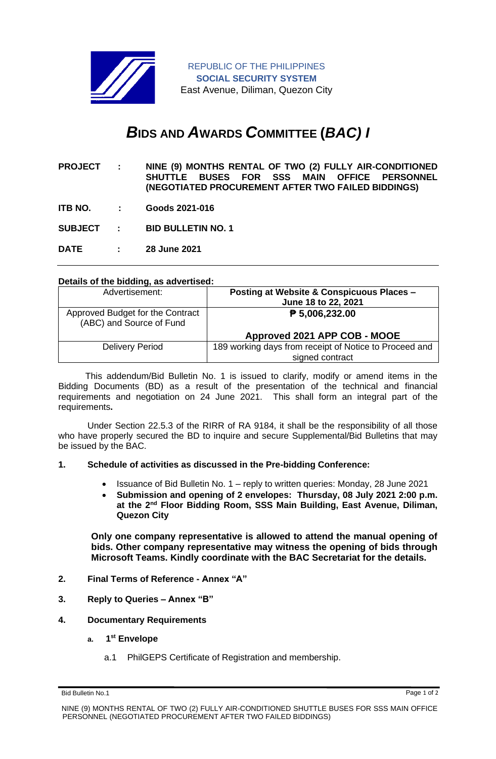

REPUBLIC OF THE PHILIPPINES **SOCIAL SECURITY SYSTEM** East Avenue, Diliman, Quezon City

# *B***IDS AND** *A***WARDS** *C***OMMITTEE (***BAC) I*

- **PROJECT : NINE (9) MONTHS RENTAL OF TWO (2) FULLY AIR-CONDITIONED SHUTTLE BUSES FOR SSS MAIN OFFICE PERSONNEL (NEGOTIATED PROCUREMENT AFTER TWO FAILED BIDDINGS)**
- **ITB NO. : Goods 2021-016**

**SUBJECT : BID BULLETIN NO. 1**

**DATE : 28 June 2021**

## **Details of the bidding, as advertised:**

| Advertisement:                                               | Posting at Website & Conspicuous Places -<br>June 18 to 22, 2021 |
|--------------------------------------------------------------|------------------------------------------------------------------|
| Approved Budget for the Contract<br>(ABC) and Source of Fund | $\overline{P}$ 5,006,232.00                                      |
|                                                              | Approved 2021 APP COB - MOOE                                     |
| <b>Delivery Period</b>                                       | 189 working days from receipt of Notice to Proceed and           |
|                                                              | signed contract                                                  |

 This addendum/Bid Bulletin No. 1 is issued to clarify, modify or amend items in the Bidding Documents (BD) as a result of the presentation of the technical and financial requirements and negotiation on 24 June 2021. This shall form an integral part of the requirements**.**

Under Section 22.5.3 of the RIRR of RA 9184, it shall be the responsibility of all those who have properly secured the BD to inquire and secure Supplemental/Bid Bulletins that may be issued by the BAC.

### **1. Schedule of activities as discussed in the Pre-bidding Conference:**

- Issuance of Bid Bulletin No. 1 reply to written queries: Monday, 28 June 2021
- **Submission and opening of 2 envelopes: Thursday, 08 July 2021 2:00 p.m. at the 2nd Floor Bidding Room, SSS Main Building, East Avenue, Diliman, Quezon City**

**Only one company representative is allowed to attend the manual opening of bids. Other company representative may witness the opening of bids through Microsoft Teams. Kindly coordinate with the BAC Secretariat for the details.**

- **2. Final Terms of Reference - Annex "A"**
- **3. Reply to Queries – Annex "B"**

### **4. Documentary Requirements**

- **a. 1 st Envelope**
	- a.1 PhilGEPS Certificate of Registration and membership.

Bid Bulletin No.1 Page 1 of 2